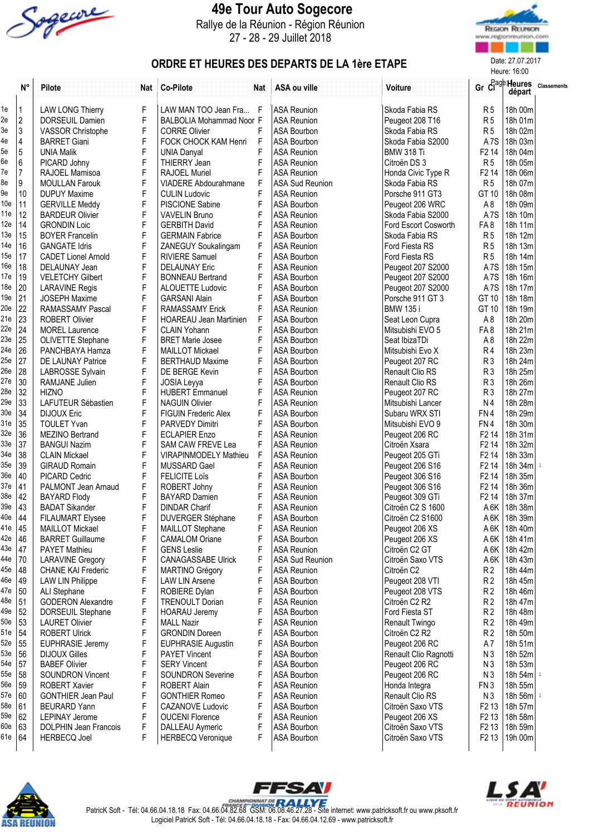

## 49e Tour Auto Sogecore

Rallye de la Réunion - Région Réunion 27 - 28 - 29 Juillet 2018



Heure: 16:00

## ORDRE ET HEURES DES DEPARTS DE LA 1ère ETAPE

|                 | $\mathsf{N}^\circ$ | Pilote                       | Nat | <b>Co-Pilote</b>              | Nat         | ASA ou ville           | Voiture                |                   | départ         | Gr Clage Heures Classements |
|-----------------|--------------------|------------------------------|-----|-------------------------------|-------------|------------------------|------------------------|-------------------|----------------|-----------------------------|
| 1e              | 1                  | <b>LAW LONG Thierry</b>      | F   | LAW MAN TOO Jean Fra F        |             | <b>ASA Reunion</b>     | Skoda Fabia RS         | R <sub>5</sub>    | 18h 00m        |                             |
| 2e              | $\sqrt{2}$         | DORSEUIL Damien              | F   | BALBOLIA Mohammad Noor F      |             | <b>ASA Reunion</b>     | Peugeot 208 T16        | R <sub>5</sub>    | 18h 01m        |                             |
| 3e              | 3                  | VASSOR Christophe            | F   | <b>CORRE Olivier</b>          | F           | <b>ASA Bourbon</b>     | Skoda Fabia RS         | R <sub>5</sub>    | 18h 02m        |                             |
| 4e              | 4                  | <b>BARRET Giani</b>          | F   | FOCK CHOCK KAM Henri          | $\mathsf F$ | ASA Bourbon            | Skoda Fabia S2000      | A <sub>7</sub> S  | 18h 03m        |                             |
| 5e              | $\overline{5}$     | <b>UNIA Malik</b>            | F   | <b>UNIA Danyal</b>            | F           | <b>ASA Reunion</b>     | <b>BMW 318 Ti</b>      | F <sub>2</sub> 14 | 18h 04m        |                             |
| 6e              | 6                  | PICARD Johny                 | F   | THIERRY Jean                  | F           | <b>ASA Reunion</b>     | Citroën DS 3           | R <sub>5</sub>    | 18h 05m        |                             |
| 7e              | $\overline{7}$     | RAJOEL Mamisoa               | F   | RAJOEL Muriel                 | F           | <b>ASA Reunion</b>     | Honda Civic Type R     | F <sub>2</sub> 14 | 18h 06m        |                             |
| 8e              | 9                  | <b>MOULLAN Farouk</b>        | F   | <b>VIADERE Abdourahmane</b>   | F           | <b>ASA Sud Reunion</b> | Skoda Fabia RS         | <b>R5</b>         | 18h 07m        |                             |
| 9e              | 10                 | <b>DUPUY Maxime</b>          | F   | <b>CULIN Ludovic</b>          | F           | <b>ASA Reunion</b>     | Porsche 911 GT3        | GT 10             | 18h 08m        |                             |
| 10 <sub>e</sub> | 11                 | <b>GERVILLE Meddy</b>        | F   | <b>PISCIONE Sabine</b>        | F           | ASA Bourbon            | Peugeot 206 WRC        | A <sub>8</sub>    | 18h 09m        |                             |
| 11e             | 12                 | <b>BARDEUR Olivier</b>       | F   | <b>VAVELIN Bruno</b>          | F           | <b>ASA Reunion</b>     | Skoda Fabia S2000      | A <sub>7</sub> S  | 18h 10m        |                             |
| 12e             | 14                 | <b>GRONDIN Loic</b>          | F   | <b>GERBITH David</b>          | F           | <b>ASA Reunion</b>     | Ford Escort Cosworth   | FA8               | 18h 11m        |                             |
| 13e             | 15                 | <b>BOYER Francelin</b>       | F   | <b>GERMAIN Fabrice</b>        | F           | <b>ASA Bourbon</b>     | Skoda Fabia RS         | R <sub>5</sub>    | 18h 12m        |                             |
| 14e             | 16                 | <b>GANGATE Idris</b>         | F   | ZANEGUY Soukalingam           | F           | <b>ASA Reunion</b>     | Ford Fiesta RS         | R <sub>5</sub>    | 18h 13m        |                             |
| 15e             | 17                 | <b>CADET Lionel Arnold</b>   | F   | <b>RIVIERE Samuel</b>         | F           | <b>ASA Bourbon</b>     | Ford Fiesta RS         | R <sub>5</sub>    | 18h 14m        |                             |
| 16e             | 18                 | DELAUNAY Jean                | F   | <b>DELAUNAY Eric</b>          | F           | <b>ASA Reunion</b>     | Peugeot 207 S2000      | A <sub>7</sub> S  | 18h 15m        |                             |
| 17e             | 19                 | <b>VELETCHY Gilbert</b>      | F   | <b>BONNEAU Bertrand</b>       | F           | ASA Bourbon            | Peugeot 207 S2000      | A <sub>7</sub> S  | 18h 16m        |                             |
| 18e             | 20                 | <b>LARAVINE Regis</b>        | F   | <b>ALOUETTE Ludovic</b>       | F           | <b>ASA Bourbon</b>     | Peugeot 207 S2000      | A <sub>7</sub> S  | 18h 17m        |                             |
| 19e             | 21                 | <b>JOSEPH Maxime</b>         | F   | <b>GARSANI Alain</b>          | F           | <b>ASA Bourbon</b>     | Porsche 911 GT 3       | GT 10             | 18h 18m        |                             |
| 20e             | 22                 | RAMASSAMY Pascal             | F   | <b>RAMASSAMY Erick</b>        | F           | <b>ASA Reunion</b>     | <b>BMW 135i</b>        | GT 10             | 18h 19m        |                             |
| 21e             | 23                 | <b>ROBERT Olivier</b>        | F   | <b>HOAREAU Jean Martinien</b> | F           | <b>ASA Bourbon</b>     | Seat Leon Cupra        | A <sub>8</sub>    | 18h 20m        |                             |
| 22e             | 24                 | <b>MOREL Laurence</b>        | F   | <b>CLAIN Yohann</b>           | F           | ASA Bourbon            | Mitsubishi EVO 5       | FA8               | 18h 21m        |                             |
| 23e             | 25                 | OLIVETTE Stephane            | F   | <b>BRET Marie Josee</b>       | F           | <b>ASA Bourbon</b>     | Seat IbizaTDi          | A <sub>8</sub>    | 18h 22m        |                             |
| 24e             | 26                 | PANCHBAYA Hamza              | F   | MAILLOT Mickael               | F           | ASA Bourbon            | Mitsubishi Evo X       | R <sub>4</sub>    | 18h 23m        |                             |
| 25e             | 27                 | DE LAUNAY Patrice            | F   | <b>BERTHAUD Maxime</b>        | F           | ASA Bourbon            | Peugeot 207 RC         | R <sub>3</sub>    | 18h 24m        |                             |
| 26e             | 28                 | LABROSSE Sylvain             | F   | DE BERGE Kevin                | F           | ASA Bourbon            | Renault Clio RS        | R <sub>3</sub>    | 18h 25m        |                             |
| 27e             | 30                 | RAMJANE Julien               | F   | JOSIA Leyya                   | F           | ASA Bourbon            | Renault Clio RS        | R <sub>3</sub>    | 18h 26m        |                             |
| 28e             | 32                 | <b>HIZNO</b>                 | F   | <b>HUBERT Emmanuel</b>        | F           | <b>ASA Reunion</b>     | Peugeot 207 RC         | R <sub>3</sub>    | 18h 27m        |                             |
| 29e             | 33                 | LAFUTEUR Sébastien           | F   | <b>NAGUIN Olivier</b>         | F           | <b>ASA Reunion</b>     | Mitsubishi Lancer      | N4                | 18h 28m        |                             |
| 30 <sub>e</sub> | 34                 | <b>DIJOUX Eric</b>           | F   | <b>FIGUIN Frederic Alex</b>   | F           | ASA Bourbon            | Subaru WRX STI         | FN4               | 18h 29m        |                             |
| 31e             | 35                 | <b>TOULET Yvan</b>           | F   | PARVEDY Dimitri               | F           | ASA Bourbon            | Mitsubishi EVO 9       | FN4               | 18h 30m        |                             |
| 32e             | 36                 | MEZINO Bertrand              | F   | <b>ECLAPIER Enzo</b>          | F           | <b>ASA Reunion</b>     | Peugeot 206 RC         | F <sub>2</sub> 14 | 18h 31m        |                             |
| 33e             | 37                 | <b>BANGUI Nazim</b>          | F   | SAM CAW FREVE Lea             | F           | <b>ASA Reunion</b>     | Citroën Xsara          | F <sub>2</sub> 14 | 18h 32m        |                             |
| 34e             | 38                 | <b>CLAIN Mickael</b>         | F   | VIRAPINMODELY Mathieu         | F           | <b>ASA Reunion</b>     | Peugeot 205 GTi        | F <sub>2</sub> 14 | 18h 33m        |                             |
| 35e             | 39                 | <b>GIRAUD Romain</b>         | F   | MUSSARD Gael                  | F           | <b>ASA Reunion</b>     | Peugeot 206 S16        | F <sub>2</sub> 14 | 18h 34m        |                             |
| 36e             | 40                 | PICARD Cedric                | F   | <b>FELICITE Loïs</b>          | F           | <b>ASA Bourbon</b>     | Peugeot 306 S16        | F <sub>2</sub> 14 | 18h 35m        |                             |
| 37e             | 41                 | PALMONT Jean Arnaud          | F   | ROBERT Johny                  | F           | <b>ASA Reunion</b>     | Peugeot 306 S16        | F <sub>2</sub> 14 | 18h 36m        |                             |
| 38e             | 42                 | <b>BAYARD Flody</b>          | F   | <b>BAYARD Damien</b>          | F           | <b>ASA Reunion</b>     | Peugeot 309 GTi        | F <sub>2</sub> 14 | 18h 37m        |                             |
| 39e             | 43                 | <b>BADAT Sikander</b>        | F   | <b>DINDAR Charif</b>          | F           | <b>ASA Reunion</b>     | Citroën C2 S 1600      | A 6K              | 18h 38m        |                             |
| 40e             | 44                 | <b>FILAUMART Elysee</b>      | F   | <b>DUVERGER Stéphane</b>      | F           | <b>ASA Bourbon</b>     | Citroën C2 S1600       |                   | A 6K   18h 39m |                             |
| 41e             | 45                 | <b>MAILLOT Mickael</b>       | F   | MAILLOT Stephane              | F           | <b>ASA Reunion</b>     | Peugeot 206 XS         |                   | A6K   18h 40m  |                             |
| 42e             | 46                 | <b>BARRET Guillaume</b>      | F   | <b>CAMALOM Oriane</b>         | F           | <b>ASA Bourbon</b>     | Peugeot 206 XS         |                   | A 6K   18h 41m |                             |
| 43e             | 47                 | <b>PAYET Mathieu</b>         | F   | <b>GENS Leslie</b>            | F           | <b>ASA Reunion</b>     | Citroën C2 GT          | A6K               | 18h 42m        |                             |
| 44e             | 70                 | <b>LARAVINE Gregory</b>      | F   | <b>CANAGASSABE Ulrick</b>     | F           | <b>ASA Sud Reunion</b> | Citroën Saxo VTS       | A 6K              | 18h 43m        |                             |
| 45e             | 48                 | <b>CHANE KAI Frederic</b>    | F   | MARTINO Grégory               | F           | <b>ASA Reunion</b>     | Citroën C <sub>2</sub> | R <sub>2</sub>    | 18h 44m        |                             |
| 46e             | 49                 | <b>LAW LIN Philippe</b>      | F   | <b>LAW LIN Arsene</b>         | F           | ASA Bourbon            | Peugeot 208 VTI        | R <sub>2</sub>    | 18h 45m        |                             |
| 47e             | 50                 | ALI Stephane                 | F   | ROBIERE Dylan                 |             | <b>ASA Bourbon</b>     | Peugeot 208 VTS        | R <sub>2</sub>    | 18h 46m        |                             |
| 48e             | 51                 | <b>GODERON Alexandre</b>     | F   | <b>TRENOULT Dorian</b>        | F           | <b>ASA Reunion</b>     | Citroën C2 R2          | R <sub>2</sub>    | 18h 47m        |                             |
| 49e             | 52                 | DORSEUIL Stephane            | F   | <b>HOARAU Jeremy</b>          |             | <b>ASA Bourbon</b>     | Ford Fiesta ST         | R <sub>2</sub>    | 18h 48m        |                             |
| 50e             | 53                 | <b>LAURET Olivier</b>        | F   | <b>MALL Nazir</b>             |             | <b>ASA Reunion</b>     | Renault Twingo         | R <sub>2</sub>    | 18h 49m        |                             |
| 51e             | 54                 | <b>ROBERT Ulrick</b>         | F   | <b>GRONDIN Doreen</b>         |             | ASA Bourbon            | Citroën C2 R2          | R <sub>2</sub>    | 18h 50m        |                             |
| 52e             | 55                 | <b>EUPHRASIE Jeremy</b>      | F   | EUPHRASIE Augustin            | F           | ASA Bourbon            | Peugeot 206 RC         | A7                | 18h 51m        |                             |
| 53e             | 56                 | <b>DIJOUX Gilles</b>         | F   | <b>PAYET Vincent</b>          | F           | ASA Bourbon            | Renault Clio Ragnotti  | N <sub>3</sub>    | 18h 52m        |                             |
| 54e             | 57                 | <b>BABEF Olivier</b>         | F   | <b>SERY Vincent</b>           | F           | ASA Bourbon            | Peugeot 206 RC         | N <sub>3</sub>    | 18h 53m        |                             |
| 55e             | 58                 | <b>SOUNDRON Vincent</b>      | F   | <b>SOUNDRON Severine</b>      | F           | ASA Bourbon            | Peugeot 206 RC         | N <sub>3</sub>    | 18h 54m 1      |                             |
| 56e             | 59                 | <b>ROBERT Xavier</b>         | F   | <b>ROBERT Alain</b>           | F           | <b>ASA Reunion</b>     | Honda Integra          | FN <sub>3</sub>   | 18h 55m        |                             |
| 57e             | 60                 | <b>GONTHIER Jean Paul</b>    | F   | <b>GONTHIER Romeo</b>         | F           | <b>ASA Reunion</b>     | Renault Clio RS        | N <sub>3</sub>    | 18h 56m 1      |                             |
| 58e             | 61                 | <b>BEURARD Yann</b>          | F   | <b>CAZANOVE Ludovic</b>       | F           | <b>ASA Bourbon</b>     | Citroën Saxo VTS       | F <sub>2</sub> 13 | 18h 57m        |                             |
| 59e             | 62                 | <b>LEPINAY Jerome</b>        | F   | <b>OUCENI Florence</b>        | F           | <b>ASA Reunion</b>     | Peugeot 206 XS         | F <sub>2</sub> 13 | 18h 58m        |                             |
| 60e             | 63                 | <b>DOLPHIN Jean Francois</b> | F   | DALLEAU Aymeric               | F           | ASA Bourbon            | Citroën Saxo VTS       | F <sub>2</sub> 13 | 18h 59m        |                             |
| 61e             | 64                 | <b>HERBECQ Joel</b>          | F   | <b>HERBECQ Veronique</b>      | F           | ASA Bourbon            | Citroën Saxo VTS       | F <sub>2</sub> 13 | 19h 00m        |                             |
|                 |                    |                              |     |                               |             |                        |                        |                   |                |                             |





PatricK Soft - Tél: 04.66.04.18.18 Fax: 04.66.04.82.68 GSM: 06.08.46.27.28 - Site internet: www.patricksoft.fr ou www.pksoft.fr Logiciel PatricK Soft - Tél: 04.66.04.18.18 - Fax: 04.66.04.12.69 - www.patricksoft.fr

FFSAV